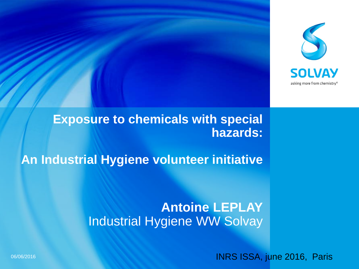

#### **Exposure to chemicals with special hazards:**

**An Industrial Hygiene volunteer initiative**

#### **Antoine LEPLAY** Industrial Hygiene WW Solvay

06/06/2016 **INRS ISSA, june 2016, Paris**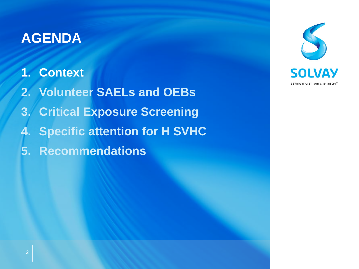#### **AGENDA**

**1. Context 2. Volunteer SAELs and OEBs 3. Critical Exposure Screening 4. Specific attention for H SVHC 5. Recommendations**

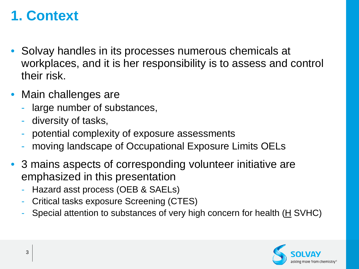# **1. Context**

- Solvay handles in its processes numerous chemicals at workplaces, and it is her responsibility is to assess and control their risk.
- Main challenges are
	- large number of substances,
	- diversity of tasks,
	- potential complexity of exposure assessments
	- moving landscape of Occupational Exposure Limits OELs
- 3 mains aspects of corresponding volunteer initiative are emphasized in this presentation
	- Hazard asst process (OEB & SAELs)
	- Critical tasks exposure Screening (CTES)
	- Special attention to substances of very high concern for health  $(H$  SVHC)

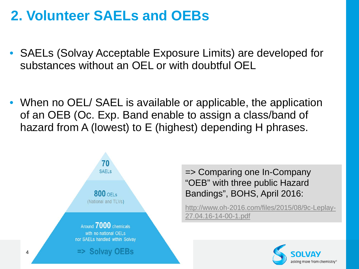## **2. Volunteer SAELs and OEBs**

- SAELs (Solvay Acceptable Exposure Limits) are developed for substances without an OEL or with doubtful OEL
- When no OEL/ SAEL is available or applicable, the application of an OEB (Oc. Exp. Band enable to assign a class/band of hazard from A (lowest) to E (highest) depending H phrases.



=> Comparing one In-Company "OEB" with three public Hazard Bandings", BOHS, April 2016:

http://www.oh-2016.com/files/2015/08/9c-Leplay-27.04.16-14-00-1.pdf

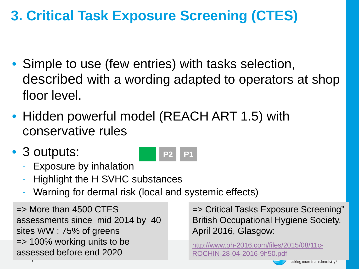# **3. Critical Task Exposure Screening (CTES)**

- Simple to use (few entries) with tasks selection, described with a wording adapted to operators at shop floor level.
- Hidden powerful model (REACH ART 1.5) with conservative rules
- 3 outputs:
	- Exposure by inhalation
	- Highlight the  $H$  SVHC substances
	- Warning for dermal risk (local and systemic effects)

5 assessed before end 2020  $\Rightarrow$  More than 4500 CTES assessments since mid 2014 by 40 sites WW : 75% of greens => 100% working units to be

=> Critical Tasks Exposure Screening" British Occupational Hygiene Society, April 2016, Glasgow:

[http://www.oh-2016.com/files/2015/08/11c-](http://www.oh-2016.com/files/2015/08/11c-ROCHIN-28-04-2016-9h50.pdf)[ROCHIN-28-04-2016-9h50.pdf](http://www.oh-2016.com/files/2015/08/11c-ROCHIN-28-04-2016-9h50.pdf)



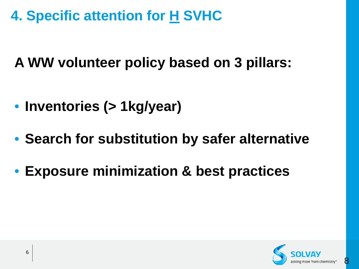# **4. Specific attention for H SVHC**

**A WW volunteer policy based on 3 pillars:**

- **Inventories (> 1kg/year)**
- **Search for substitution by safer alternative**
- **Exposure minimization & best practices**



8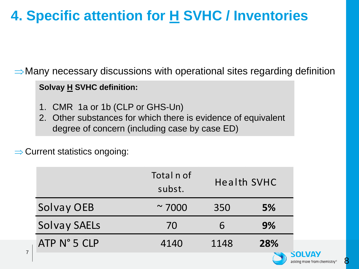# **4. Specific attention for H SVHC / Inventories**

⇒Many necessary discussions with operational sites regarding definition

**Solvay H SVHC definition:**

- 1. CMR 1a or 1b (CLP or GHS-Un)
- 2. Other substances for which there is evidence of equivalent degree of concern (including case by case ED)

⇒ Current statistics ongoing:

|                     | Total n of<br>subst. | <b>Health SVHC</b> |     |
|---------------------|----------------------|--------------------|-----|
| Solvay OEB          | $\sim$ 7000          | 350                | 5%  |
| <b>Solvay SAELs</b> | 70                   | 6                  | 9%  |
| ATP N° 5 CLP        | 4140                 | 1148               | 28% |

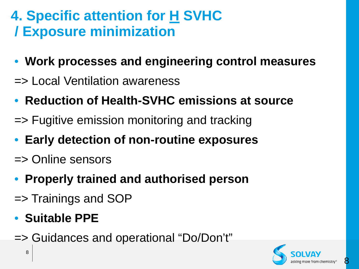# **4. Specific attention for H SVHC / Exposure minimization**

- **Work processes and engineering control measures**
- => Local Ventilation awareness
- **Reduction of Health-SVHC emissions at source**
- => Fugitive emission monitoring and tracking
- **Early detection of non-routine exposures**
- => Online sensors
- **Properly trained and authorised person**
- => Trainings and SOP

## • **Suitable PPE**

=> Guidances and operational "Do/Don't"



8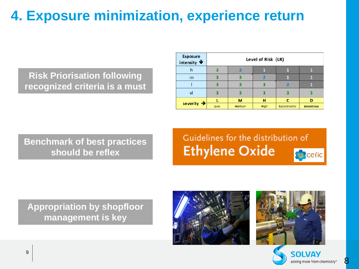# **4. Exposure minimization, experience return**

**Risk Priorisation following recognized criteria is a must**

| <b>Exposure</b><br>intensity $\blacklozenge$ | Level of Risk (LR) |               |      |              |                   |
|----------------------------------------------|--------------------|---------------|------|--------------|-------------------|
|                                              |                    |               |      |              |                   |
| m                                            |                    |               |      |              |                   |
|                                              |                    |               | ą    |              |                   |
| vl                                           |                    |               |      |              |                   |
| severity $\rightarrow$                       |                    | M             | н    |              | D                 |
|                                              | Low                | <b>Medium</b> | High | Catastrophic | <b>Desastrous</b> |

**Benchmark of best practices should be reflex**

#### Guidelines for the distribution of **Ethylene Oxide** cefic

**Appropriation by shopfloor management is key** 





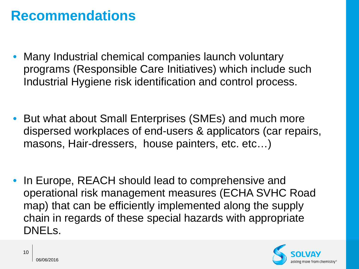#### **Recommendations**

- Many Industrial chemical companies launch voluntary programs (Responsible Care Initiatives) which include such Industrial Hygiene risk identification and control process.
- But what about Small Enterprises (SMEs) and much more dispersed workplaces of end-users & applicators (car repairs, masons, Hair-dressers, house painters, etc. etc...)
- In Europe, REACH should lead to comprehensive and operational risk management measures (ECHA SVHC Road map) that can be efficiently implemented along the supply chain in regards of these special hazards with appropriate DNELs.

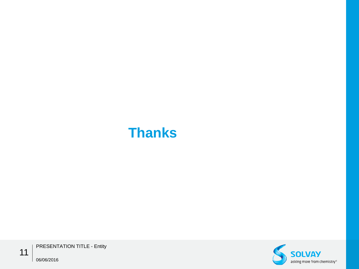## **Thanks**



PRESENTATION TITLE - Entity

11

06/06/2016